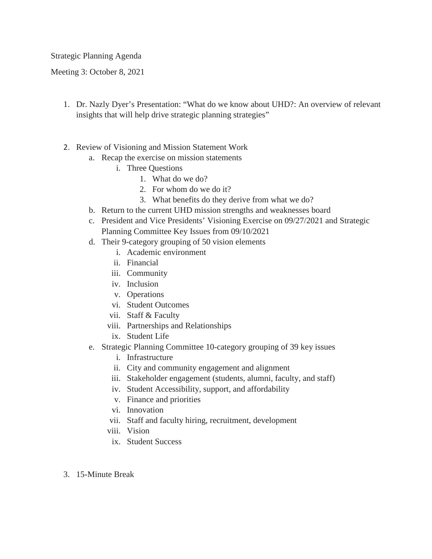Strategic Planning Agenda

Meeting 3: October 8, 2021

- 1. Dr. Nazly Dyer's Presentation: "What do we know about UHD?: An overview of relevant insights that will help drive strategic planning strategies"
- 2. Review of Visioning and Mission Statement Work
	- a. Recap the exercise on mission statements
		- i. Three Questions
			- 1. What do we do?
			- 2. For whom do we do it?
			- 3. What benefits do they derive from what we do?
	- b. Return to the current UHD mission strengths and weaknesses board
	- c. President and Vice Presidents' Visioning Exercise on 09/27/2021 and Strategic Planning Committee Key Issues from 09/10/2021
	- d. Their 9-category grouping of 50 vision elements
		- i. Academic environment
		- ii. Financial
		- iii. Community
		- iv. Inclusion
		- v. Operations
		- vi. Student Outcomes
		- vii. Staff & Faculty
		- viii. Partnerships and Relationships
		- ix. Student Life
	- e. Strategic Planning Committee 10-category grouping of 39 key issues
		- i. Infrastructure
		- ii. City and community engagement and alignment
		- iii. Stakeholder engagement (students, alumni, faculty, and staff)
		- iv. Student Accessibility, support, and affordability
		- v. Finance and priorities
		- vi. Innovation
		- vii. Staff and faculty hiring, recruitment, development
		- viii. Vision
		- ix. Student Success
- 3. 15-Minute Break